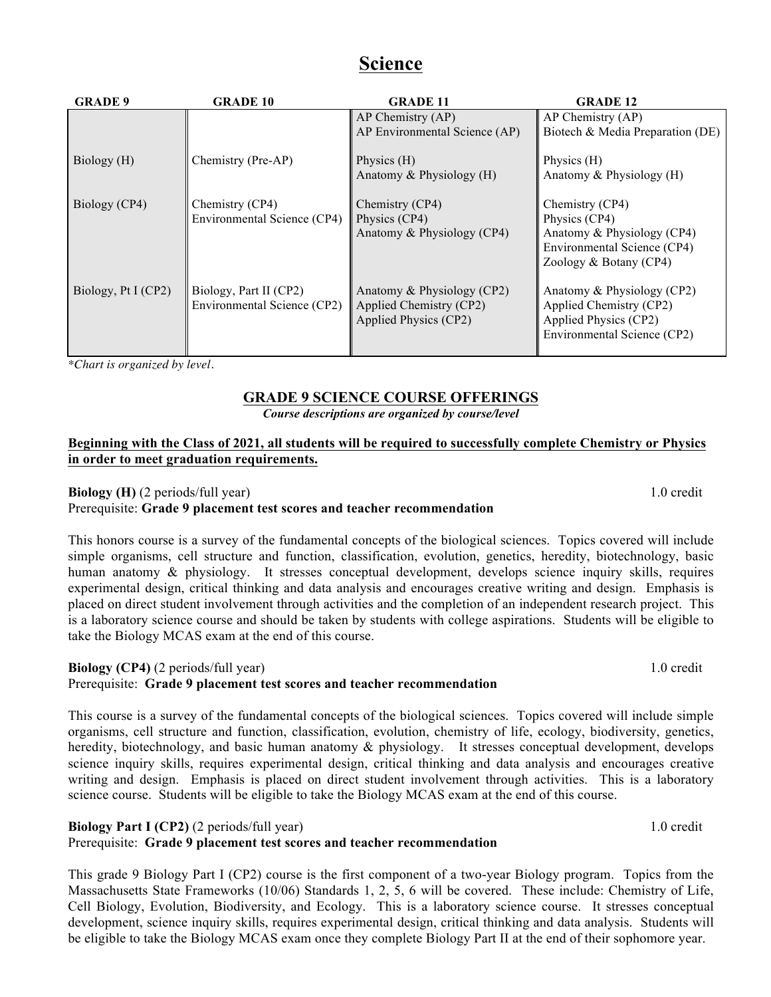# **Science**

| <b>GRADE 9</b>      | <b>GRADE 10</b>                                       | <b>GRADE 11</b>                                                                | <b>GRADE 12</b>                                                                                                             |
|---------------------|-------------------------------------------------------|--------------------------------------------------------------------------------|-----------------------------------------------------------------------------------------------------------------------------|
|                     |                                                       | AP Chemistry (AP)<br>AP Environmental Science (AP)                             | AP Chemistry (AP)<br>Biotech & Media Preparation (DE)                                                                       |
| Biology (H)         | Chemistry (Pre-AP)                                    | Physics (H)<br>Anatomy $&$ Physiology $(H)$                                    | Physics $(H)$<br>Anatomy $&$ Physiology $(H)$                                                                               |
| Biology (CP4)       | Chemistry (CP4)<br>Environmental Science (CP4)        | Chemistry (CP4)<br>Physics (CP4)<br>Anatomy & Physiology (CP4)                 | Chemistry (CP4)<br>Physics (CP4)<br>Anatomy $&$ Physiology (CP4)<br>Environmental Science (CP4)<br>Zoology $& Botany (CP4)$ |
| Biology, Pt I (CP2) | Biology, Part II (CP2)<br>Environmental Science (CP2) | Anatomy & Physiology (CP2)<br>Applied Chemistry (CP2)<br>Applied Physics (CP2) | Anatomy & Physiology (CP2)<br>Applied Chemistry (CP2)<br>Applied Physics (CP2)<br>Environmental Science (CP2)               |

*\*Chart is organized by level.*

# **GRADE 9 SCIENCE COURSE OFFERINGS**

*Course descriptions are organized by course/level*

### **Beginning with the Class of 2021, all students will be required to successfully complete Chemistry or Physics in order to meet graduation requirements.**

# **Biology (H)** (2 periods/full year) 1.0 credit

# Prerequisite: **Grade 9 placement test scores and teacher recommendation**

This honors course is a survey of the fundamental concepts of the biological sciences. Topics covered will include simple organisms, cell structure and function, classification, evolution, genetics, heredity, biotechnology, basic human anatomy & physiology. It stresses conceptual development, develops science inquiry skills, requires experimental design, critical thinking and data analysis and encourages creative writing and design. Emphasis is placed on direct student involvement through activities and the completion of an independent research project. This is a laboratory science course and should be taken by students with college aspirations. Students will be eligible to take the Biology MCAS exam at the end of this course.

# **Biology (CP4)** (2 periods/full year) 1.0 credit

Prerequisite: **Grade 9 placement test scores and teacher recommendation**

This course is a survey of the fundamental concepts of the biological sciences. Topics covered will include simple organisms, cell structure and function, classification, evolution, chemistry of life, ecology, biodiversity, genetics, heredity, biotechnology, and basic human anatomy  $\&$  physiology. It stresses conceptual development, develops science inquiry skills, requires experimental design, critical thinking and data analysis and encourages creative writing and design. Emphasis is placed on direct student involvement through activities. This is a laboratory science course. Students will be eligible to take the Biology MCAS exam at the end of this course.

# **Biology Part I (CP2)** (2 periods/full year) 1.0 credit

Prerequisite: **Grade 9 placement test scores and teacher recommendation**

This grade 9 Biology Part I (CP2) course is the first component of a two-year Biology program. Topics from the Massachusetts State Frameworks (10/06) Standards 1, 2, 5, 6 will be covered. These include: Chemistry of Life, Cell Biology, Evolution, Biodiversity, and Ecology. This is a laboratory science course. It stresses conceptual development, science inquiry skills, requires experimental design, critical thinking and data analysis. Students will be eligible to take the Biology MCAS exam once they complete Biology Part II at the end of their sophomore year.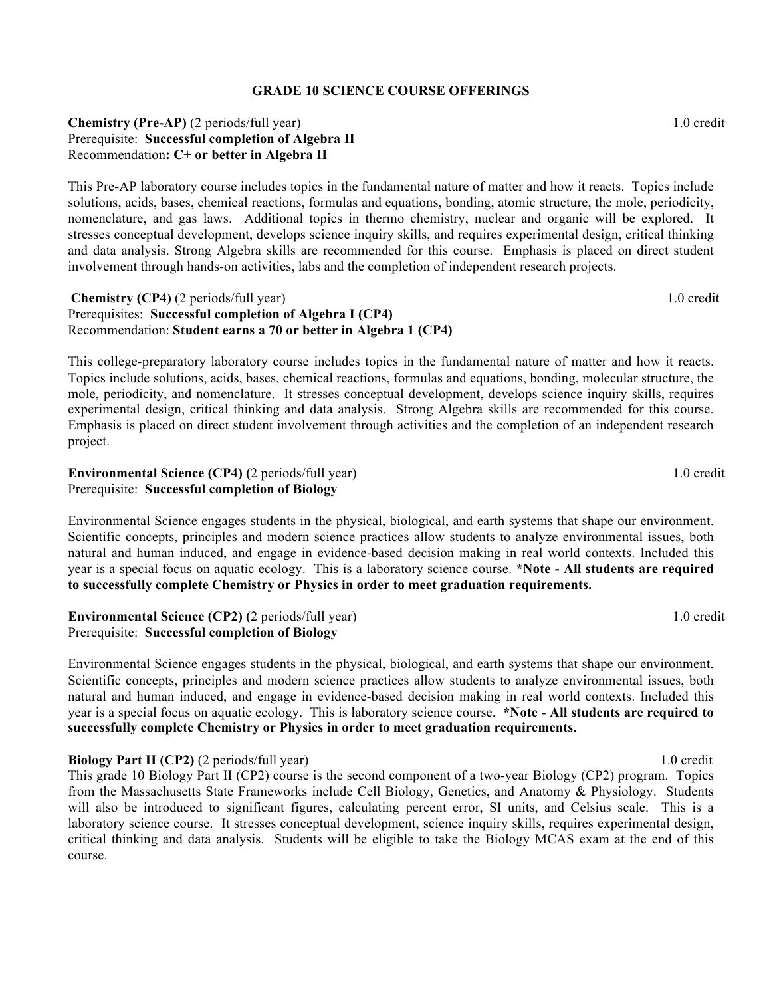#### **GRADE 10 SCIENCE COURSE OFFERINGS**

#### **Chemistry (Pre-AP)** (2 periods/full year) 1.0 credit Prerequisite: **Successful completion of Algebra II**  Recommendation**: C+ or better in Algebra II**

This Pre-AP laboratory course includes topics in the fundamental nature of matter and how it reacts. Topics include solutions, acids, bases, chemical reactions, formulas and equations, bonding, atomic structure, the mole, periodicity, nomenclature, and gas laws. Additional topics in thermo chemistry, nuclear and organic will be explored. It stresses conceptual development, develops science inquiry skills, and requires experimental design, critical thinking and data analysis. Strong Algebra skills are recommended for this course. Emphasis is placed on direct student involvement through hands-on activities, labs and the completion of independent research projects.

#### **Chemistry (CP4)** (2 periods/full year) 1.0 credit Prerequisites: **Successful completion of Algebra I (CP4)**  Recommendation: **Student earns a 70 or better in Algebra 1 (CP4)**

This college-preparatory laboratory course includes topics in the fundamental nature of matter and how it reacts. Topics include solutions, acids, bases, chemical reactions, formulas and equations, bonding, molecular structure, the mole, periodicity, and nomenclature. It stresses conceptual development, develops science inquiry skills, requires experimental design, critical thinking and data analysis. Strong Algebra skills are recommended for this course. Emphasis is placed on direct student involvement through activities and the completion of an independent research project.

#### **Environmental Science (CP4) (2 periods/full year) 1.0 credit 1.0 credit 1.0 credit 1.0 credit 1.0 credit 1.0 credit 1.0 credit 1.0 credit 1.0 credit 1.0 credit 1.0 credit 1.0 credit 1.0 credit 1.0 credit 1.0 credit 1.0 cr** Prerequisite: **Successful completion of Biology**

Environmental Science engages students in the physical, biological, and earth systems that shape our environment. Scientific concepts, principles and modern science practices allow students to analyze environmental issues, both natural and human induced, and engage in evidence-based decision making in real world contexts. Included this year is a special focus on aquatic ecology. This is a laboratory science course. **\*Note - All students are required to successfully complete Chemistry or Physics in order to meet graduation requirements.**

**Environmental Science (CP2) (2 periods/full year) 1.0 credit 1.0 credit** Prerequisite: **Successful completion of Biology** 

Environmental Science engages students in the physical, biological, and earth systems that shape our environment. Scientific concepts, principles and modern science practices allow students to analyze environmental issues, both natural and human induced, and engage in evidence-based decision making in real world contexts. Included this year is a special focus on aquatic ecology. This is laboratory science course. **\*Note - All students are required to successfully complete Chemistry or Physics in order to meet graduation requirements.**

**Biology Part II (CP2)** (2 periods/full year) 1.0 credit This grade 10 Biology Part II (CP2) course is the second component of a two-year Biology (CP2) program. Topics from the Massachusetts State Frameworks include Cell Biology, Genetics, and Anatomy & Physiology. Students will also be introduced to significant figures, calculating percent error, SI units, and Celsius scale. This is a laboratory science course. It stresses conceptual development, science inquiry skills, requires experimental design, critical thinking and data analysis. Students will be eligible to take the Biology MCAS exam at the end of this course.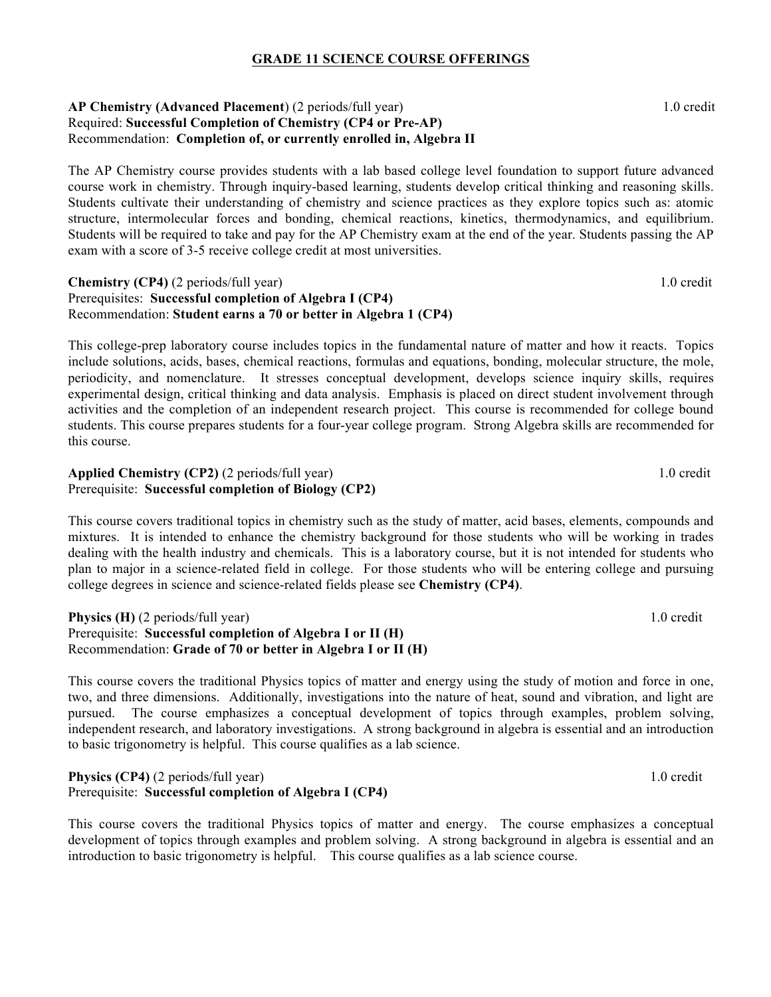#### **GRADE 11 SCIENCE COURSE OFFERINGS**

#### **AP Chemistry (Advanced Placement**) (2 periods/full year)1.0 credit Required: **Successful Completion of Chemistry (CP4 or Pre-AP)** Recommendation: **Completion of, or currently enrolled in, Algebra II**

The AP Chemistry course provides students with a lab based college level foundation to support future advanced course work in chemistry. Through inquiry-based learning, students develop critical thinking and reasoning skills. Students cultivate their understanding of chemistry and science practices as they explore topics such as: atomic structure, intermolecular forces and bonding, chemical reactions, kinetics, thermodynamics, and equilibrium. Students will be required to take and pay for the AP Chemistry exam at the end of the year. Students passing the AP exam with a score of 3-5 receive college credit at most universities.

#### **Chemistry (CP4)** (2 periods/full year) 1.0 credit Prerequisites: **Successful completion of Algebra I (CP4)**  Recommendation: **Student earns a 70 or better in Algebra 1 (CP4)**

This college-prep laboratory course includes topics in the fundamental nature of matter and how it reacts. Topics include solutions, acids, bases, chemical reactions, formulas and equations, bonding, molecular structure, the mole, periodicity, and nomenclature. It stresses conceptual development, develops science inquiry skills, requires experimental design, critical thinking and data analysis. Emphasis is placed on direct student involvement through activities and the completion of an independent research project. This course is recommended for college bound students. This course prepares students for a four-year college program. Strong Algebra skills are recommended for this course.

#### **Applied Chemistry (CP2)** (2 periods/full year) 1.0 credit Prerequisite: **Successful completion of Biology (CP2)**

This course covers traditional topics in chemistry such as the study of matter, acid bases, elements, compounds and mixtures. It is intended to enhance the chemistry background for those students who will be working in trades dealing with the health industry and chemicals. This is a laboratory course, but it is not intended for students who plan to major in a science-related field in college. For those students who will be entering college and pursuing college degrees in science and science-related fields please see **Chemistry (CP4)**.

#### **Physics (H)** (2 periods/full year) 1.0 credit Prerequisite: **Successful completion of Algebra I or II (H)**  Recommendation: **Grade of 70 or better in Algebra I or II (H)**

This course covers the traditional Physics topics of matter and energy using the study of motion and force in one, two, and three dimensions. Additionally, investigations into the nature of heat, sound and vibration, and light are pursued. The course emphasizes a conceptual development of topics through examples, problem solving, independent research, and laboratory investigations. A strong background in algebra is essential and an introduction to basic trigonometry is helpful. This course qualifies as a lab science.

### **Physics (CP4)** (2 periods/full year) 1.0 credit Prerequisite: **Successful completion of Algebra I (CP4)**

This course covers the traditional Physics topics of matter and energy. The course emphasizes a conceptual development of topics through examples and problem solving. A strong background in algebra is essential and an introduction to basic trigonometry is helpful. This course qualifies as a lab science course.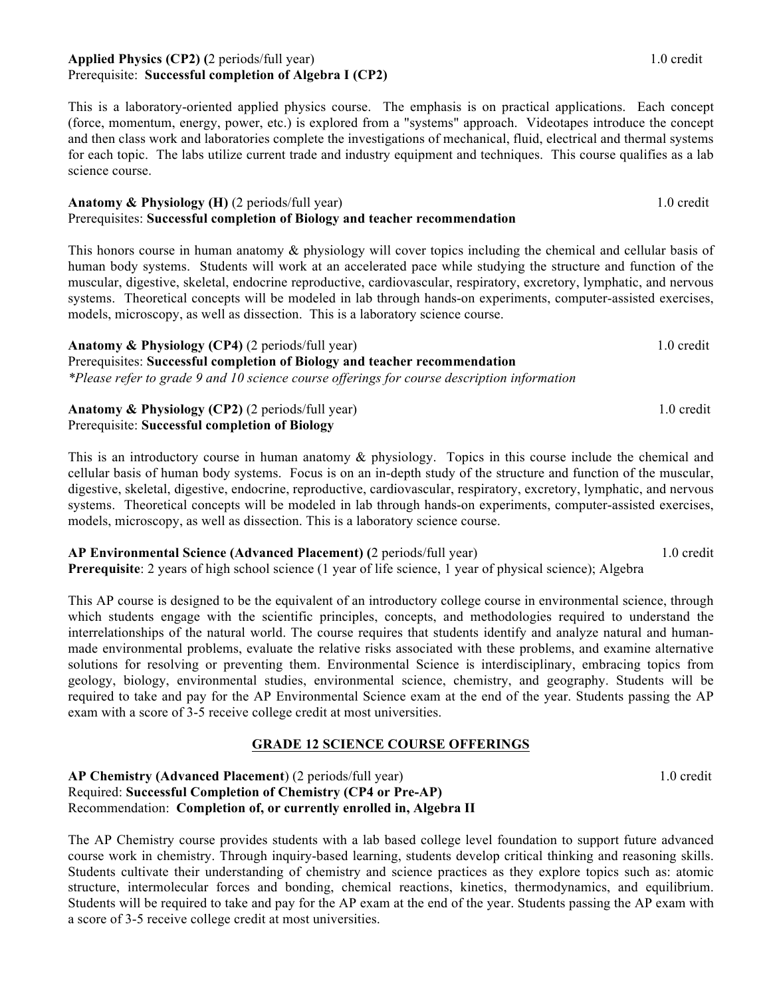#### **Applied Physics (CP2) (2 periods/full year) 1.0 credit 1.0 credit 1.0 credit 1.0 credit 1.0 credit 1.0 credit 1.0 credit 1.0 credit 1.0 credit 1.0 credit 1.0 credit 1.0 credit 1.0 credit 1.0 credit 1.0 credit 1.0 credit 1** Prerequisite: **Successful completion of Algebra I (CP2)**

This is a laboratory-oriented applied physics course. The emphasis is on practical applications. Each concept (force, momentum, energy, power, etc.) is explored from a "systems" approach. Videotapes introduce the concept and then class work and laboratories complete the investigations of mechanical, fluid, electrical and thermal systems for each topic. The labs utilize current trade and industry equipment and techniques. This course qualifies as a lab science course.

#### **Anatomy & Physiology (H)** (2 periods/full year) 1.0 credit Prerequisites: **Successful completion of Biology and teacher recommendation**

This honors course in human anatomy & physiology will cover topics including the chemical and cellular basis of human body systems. Students will work at an accelerated pace while studying the structure and function of the muscular, digestive, skeletal, endocrine reproductive, cardiovascular, respiratory, excretory, lymphatic, and nervous systems. Theoretical concepts will be modeled in lab through hands-on experiments, computer-assisted exercises, models, microscopy, as well as dissection. This is a laboratory science course.

**Anatomy & Physiology (CP4)** (2 periods/full year) 1.0 credit Prerequisites: **Successful completion of Biology and teacher recommendation** *\*Please refer to grade 9 and 10 science course offerings for course description information* 

**Anatomy & Physiology (CP2)** (2 periods/full year) 1.0 credit Prerequisite: **Successful completion of Biology**

This is an introductory course in human anatomy & physiology. Topics in this course include the chemical and cellular basis of human body systems. Focus is on an in-depth study of the structure and function of the muscular, digestive, skeletal, digestive, endocrine, reproductive, cardiovascular, respiratory, excretory, lymphatic, and nervous systems. Theoretical concepts will be modeled in lab through hands-on experiments, computer-assisted exercises, models, microscopy, as well as dissection. This is a laboratory science course.

**AP Environmental Science (Advanced Placement) (**2 periods/full year) 1.0 credit **Prerequisite**: 2 years of high school science (1 year of life science, 1 year of physical science); Algebra

This AP course is designed to be the equivalent of an introductory college course in environmental science, through which students engage with the scientific principles, concepts, and methodologies required to understand the interrelationships of the natural world. The course requires that students identify and analyze natural and humanmade environmental problems, evaluate the relative risks associated with these problems, and examine alternative solutions for resolving or preventing them. Environmental Science is interdisciplinary, embracing topics from geology, biology, environmental studies, environmental science, chemistry, and geography. Students will be required to take and pay for the AP Environmental Science exam at the end of the year. Students passing the AP exam with a score of 3-5 receive college credit at most universities.

# **GRADE 12 SCIENCE COURSE OFFERINGS**

#### **AP Chemistry (Advanced Placement**) (2 periods/full year)1.0 credit Required: **Successful Completion of Chemistry (CP4 or Pre-AP)** Recommendation: **Completion of, or currently enrolled in, Algebra II**

The AP Chemistry course provides students with a lab based college level foundation to support future advanced course work in chemistry. Through inquiry-based learning, students develop critical thinking and reasoning skills. Students cultivate their understanding of chemistry and science practices as they explore topics such as: atomic structure, intermolecular forces and bonding, chemical reactions, kinetics, thermodynamics, and equilibrium. Students will be required to take and pay for the AP exam at the end of the year. Students passing the AP exam with a score of 3-5 receive college credit at most universities.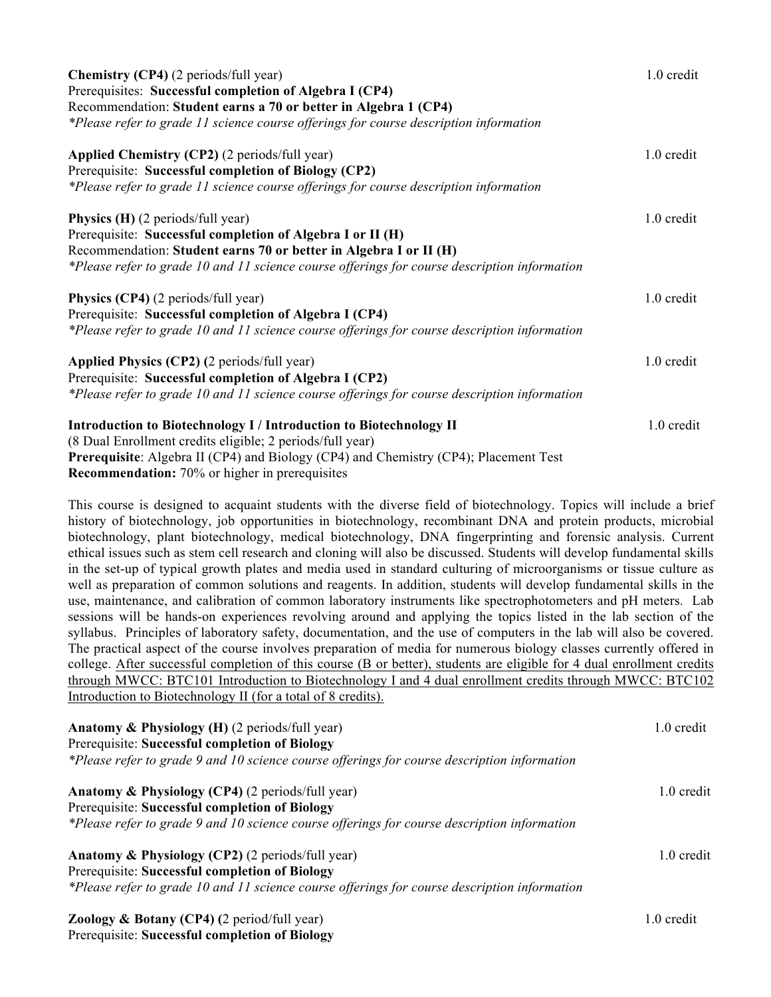| <b>Chemistry (CP4)</b> (2 periods/full year)                                                 | 1.0 credit |  |
|----------------------------------------------------------------------------------------------|------------|--|
| Prerequisites: Successful completion of Algebra I (CP4)                                      |            |  |
| Recommendation: Student earns a 70 or better in Algebra 1 (CP4)                              |            |  |
| *Please refer to grade 11 science course offerings for course description information        |            |  |
| Applied Chemistry (CP2) (2 periods/full year)                                                | 1.0 credit |  |
| Prerequisite: Successful completion of Biology (CP2)                                         |            |  |
| *Please refer to grade 11 science course offerings for course description information        |            |  |
| <b>Physics (H)</b> (2 periods/full year)                                                     | 1.0 credit |  |
| Prerequisite: Successful completion of Algebra I or II (H)                                   |            |  |
| Recommendation: Student earns 70 or better in Algebra I or II (H)                            |            |  |
| *Please refer to grade 10 and 11 science course offerings for course description information |            |  |
| <b>Physics (CP4)</b> (2 periods/full year)                                                   | 1.0 credit |  |
| Prerequisite: Successful completion of Algebra I (CP4)                                       |            |  |
| *Please refer to grade 10 and 11 science course offerings for course description information |            |  |
| Applied Physics (CP2) (2 periods/full year)                                                  | 1.0 credit |  |
| Prerequisite: Successful completion of Algebra I (CP2)                                       |            |  |
| *Please refer to grade 10 and 11 science course offerings for course description information |            |  |
| Introduction to Biotechnology I / Introduction to Biotechnology II                           | 1.0 credit |  |
| (8 Dual Enrollment credits eligible; 2 periods/full year)                                    |            |  |
| <b>Prerequisite:</b> Algebra II (CP4) and Biology (CP4) and Chemistry (CP4); Placement Test  |            |  |
| <b>Recommendation:</b> 70% or higher in prerequisites                                        |            |  |

This course is designed to acquaint students with the diverse field of biotechnology. Topics will include a brief history of biotechnology, job opportunities in biotechnology, recombinant DNA and protein products, microbial biotechnology, plant biotechnology, medical biotechnology, DNA fingerprinting and forensic analysis. Current ethical issues such as stem cell research and cloning will also be discussed. Students will develop fundamental skills in the set-up of typical growth plates and media used in standard culturing of microorganisms or tissue culture as well as preparation of common solutions and reagents. In addition, students will develop fundamental skills in the use, maintenance, and calibration of common laboratory instruments like spectrophotometers and pH meters. Lab sessions will be hands-on experiences revolving around and applying the topics listed in the lab section of the syllabus. Principles of laboratory safety, documentation, and the use of computers in the lab will also be covered. The practical aspect of the course involves preparation of media for numerous biology classes currently offered in college. After successful completion of this course (B or better), students are eligible for 4 dual enrollment credits through MWCC: BTC101 Introduction to Biotechnology I and 4 dual enrollment credits through MWCC: BTC102 Introduction to Biotechnology II (for a total of 8 credits).

| Anatomy & Physiology (H) (2 periods/full year)                                               | 1.0 credit           |
|----------------------------------------------------------------------------------------------|----------------------|
| Prerequisite: Successful completion of Biology                                               |                      |
| *Please refer to grade 9 and 10 science course offerings for course description information  |                      |
| <b>Anatomy &amp; Physiology (CP4) (2 periods/full year)</b>                                  | $1.0 \text{ credit}$ |
| Prerequisite: Successful completion of Biology                                               |                      |
| *Please refer to grade 9 and 10 science course offerings for course description information  |                      |
| Anatomy & Physiology (CP2) (2 periods/full year)                                             | 1.0 credit           |
| Prerequisite: Successful completion of Biology                                               |                      |
| *Please refer to grade 10 and 11 science course offerings for course description information |                      |
| <b>Zoology &amp; Botany (CP4)</b> (2 period/full year)                                       | 1.0 credit           |
| Prerequisite: Successful completion of Biology                                               |                      |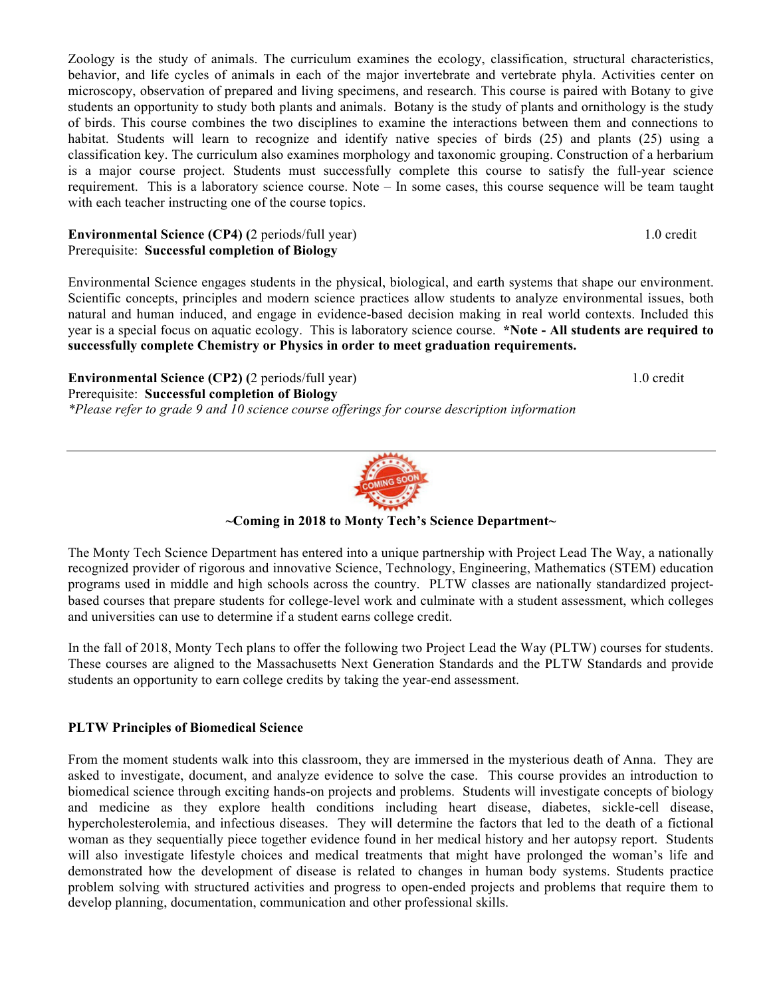Zoology is the study of animals. The curriculum examines the ecology, classification, structural characteristics, behavior, and life cycles of animals in each of the major invertebrate and vertebrate phyla. Activities center on microscopy, observation of prepared and living specimens, and research. This course is paired with Botany to give students an opportunity to study both plants and animals. Botany is the study of plants and ornithology is the study of birds. This course combines the two disciplines to examine the interactions between them and connections to habitat. Students will learn to recognize and identify native species of birds (25) and plants (25) using a classification key. The curriculum also examines morphology and taxonomic grouping. Construction of a herbarium is a major course project. Students must successfully complete this course to satisfy the full-year science requirement. This is a laboratory science course. Note – In some cases, this course sequence will be team taught with each teacher instructing one of the course topics.

#### **Environmental Science (CP4) (2 periods/full year) 1.0 credit 1.0 credit** Prerequisite: **Successful completion of Biology**

Environmental Science engages students in the physical, biological, and earth systems that shape our environment. Scientific concepts, principles and modern science practices allow students to analyze environmental issues, both natural and human induced, and engage in evidence-based decision making in real world contexts. Included this year is a special focus on aquatic ecology. This is laboratory science course. **\*Note - All students are required to successfully complete Chemistry or Physics in order to meet graduation requirements.**

**Environmental Science (CP2) (2 periods/full year) 1.0 credit 1.0 credit 1.0 credit 1.0 credit 1.0 credit 1.0 credit 1.0 credit 1.0 credit 1.0 credit 1.0 credit 1.0 credit 1.0 credit 1.0 credit 1.0 credit 1.0 credit 1.0 cr** 

Prerequisite: **Successful completion of Biology**  *\*Please refer to grade 9 and 10 science course offerings for course description information* 

**~Coming in 2018 to Monty Tech's Science Department~**

The Monty Tech Science Department has entered into a unique partnership with Project Lead The Way, a nationally recognized provider of rigorous and innovative Science, Technology, Engineering, Mathematics (STEM) education programs used in middle and high schools across the country. PLTW classes are nationally standardized projectbased courses that prepare students for college-level work and culminate with a student assessment, which colleges and universities can use to determine if a student earns college credit.

In the fall of 2018, Monty Tech plans to offer the following two Project Lead the Way (PLTW) courses for students. These courses are aligned to the Massachusetts Next Generation Standards and the PLTW Standards and provide students an opportunity to earn college credits by taking the year-end assessment.

# **PLTW Principles of Biomedical Science**

From the moment students walk into this classroom, they are immersed in the mysterious death of Anna. They are asked to investigate, document, and analyze evidence to solve the case. This course provides an introduction to biomedical science through exciting hands-on projects and problems. Students will investigate concepts of biology and medicine as they explore health conditions including heart disease, diabetes, sickle-cell disease, hypercholesterolemia, and infectious diseases. They will determine the factors that led to the death of a fictional woman as they sequentially piece together evidence found in her medical history and her autopsy report. Students will also investigate lifestyle choices and medical treatments that might have prolonged the woman's life and demonstrated how the development of disease is related to changes in human body systems. Students practice problem solving with structured activities and progress to open-ended projects and problems that require them to develop planning, documentation, communication and other professional skills.